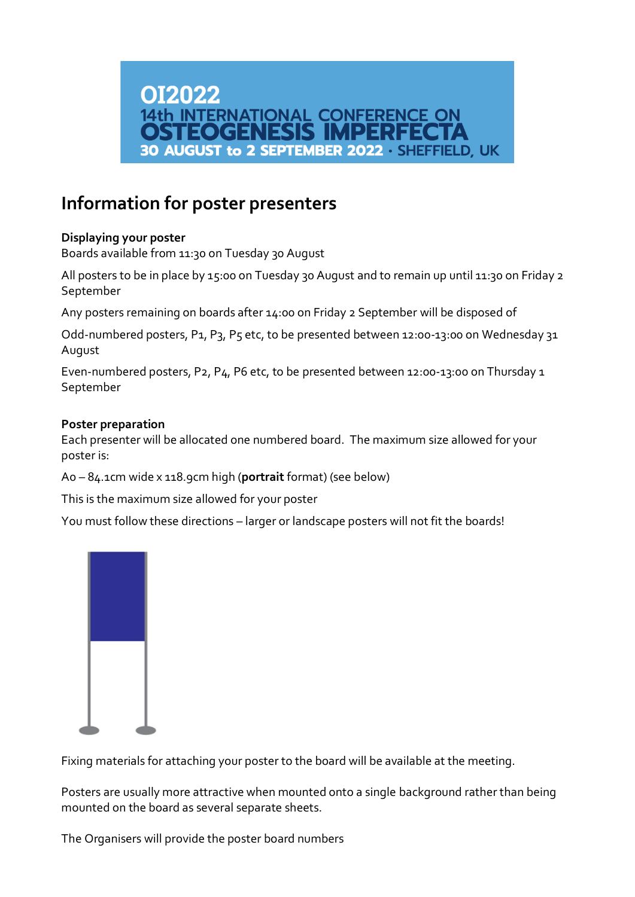

# **Information for poster presenters**

## **Displaying your poster**

Boards available from 11:30 on Tuesday 30 August

All posters to be in place by 15:00 on Tuesday 30 August and to remain up until 11:30 on Friday 2 September

Any posters remaining on boards after 14:00 on Friday 2 September will be disposed of

Odd-numbered posters, P1, P3, P5 etc, to be presented between 12:00-13:00 on Wednesday 31 August

Even-numbered posters, P2, P4, P6 etc, to be presented between 12:00-13:00 on Thursday 1 September

#### **Poster preparation**

Each presenter will be allocated one numbered board. The maximum size allowed for your poster is:

A0 – 84.1cm wide x 118.9cm high (**portrait** format) (see below)

This is the maximum size allowed for your poster

You must follow these directions – larger or landscape posters will not fit the boards!



Fixing materials for attaching your poster to the board will be available at the meeting.

Posters are usually more attractive when mounted onto a single background rather than being mounted on the board as several separate sheets.

The Organisers will provide the poster board numbers